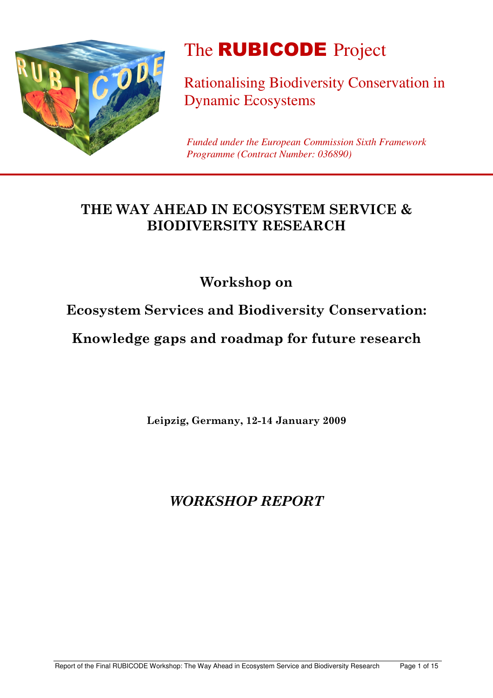

# The **RUBICODE** Project

Rationalising Biodiversity Conservation in Dynamic Ecosystems

*Funded under the European Commission Sixth Framework Programme (Contract Number: 036890)*

# THE WAY AHEAD IN ECOSYSTEM SERVICE & **BIODIVERSITY RESEARCH**

Workshop on

**Ecosystem Services and Biodiversity Conservation:** 

Knowledge gaps and roadmap for future research

Leipzig, Germany, 12-14 January 2009

**WORKSHOP REPORT**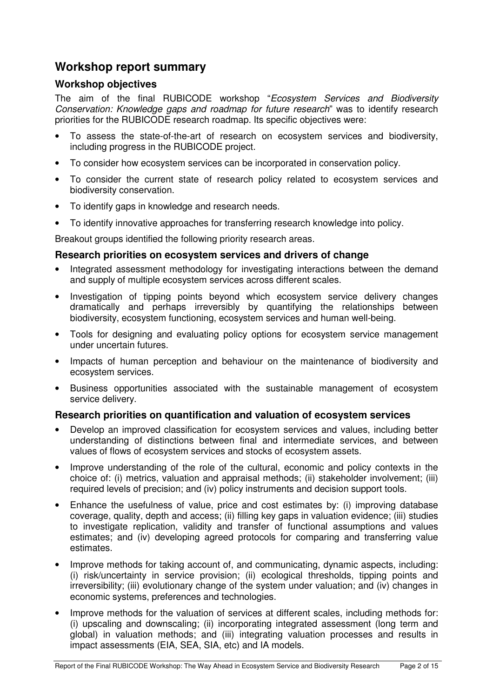### **Workshop report summary**

#### **Workshop objectives**

The aim of the final RUBICODE workshop "*Ecosystem Services and Biodiversity Conservation: Knowledge gaps and roadmap for future research*" was to identify research priorities for the RUBICODE research roadmap. Its specific objectives were:

- To assess the state-of-the-art of research on ecosystem services and biodiversity, including progress in the RUBICODE project.
- To consider how ecosystem services can be incorporated in conservation policy.
- To consider the current state of research policy related to ecosystem services and biodiversity conservation.
- To identify gaps in knowledge and research needs.
- To identify innovative approaches for transferring research knowledge into policy.

Breakout groups identified the following priority research areas.

#### **Research priorities on ecosystem services and drivers of change**

- Integrated assessment methodology for investigating interactions between the demand and supply of multiple ecosystem services across different scales.
- Investigation of tipping points beyond which ecosystem service delivery changes dramatically and perhaps irreversibly by quantifying the relationships between biodiversity, ecosystem functioning, ecosystem services and human well-being.
- Tools for designing and evaluating policy options for ecosystem service management under uncertain futures.
- Impacts of human perception and behaviour on the maintenance of biodiversity and ecosystem services.
- Business opportunities associated with the sustainable management of ecosystem service delivery.

#### **Research priorities on quantification and valuation of ecosystem services**

- Develop an improved classification for ecosystem services and values, including better understanding of distinctions between final and intermediate services, and between values of flows of ecosystem services and stocks of ecosystem assets.
- Improve understanding of the role of the cultural, economic and policy contexts in the choice of: (i) metrics, valuation and appraisal methods; (ii) stakeholder involvement; (iii) required levels of precision; and (iv) policy instruments and decision support tools.
- Enhance the usefulness of value, price and cost estimates by: (i) improving database coverage, quality, depth and access; (ii) filling key gaps in valuation evidence; (iii) studies to investigate replication, validity and transfer of functional assumptions and values estimates; and (iv) developing agreed protocols for comparing and transferring value estimates.
- Improve methods for taking account of, and communicating, dynamic aspects, including: (i) risk/uncertainty in service provision; (ii) ecological thresholds, tipping points and irreversibility; (iii) evolutionary change of the system under valuation; and (iv) changes in economic systems, preferences and technologies.
- Improve methods for the valuation of services at different scales, including methods for: (i) upscaling and downscaling; (ii) incorporating integrated assessment (long term and global) in valuation methods; and (iii) integrating valuation processes and results in impact assessments (EIA, SEA, SIA, etc) and IA models.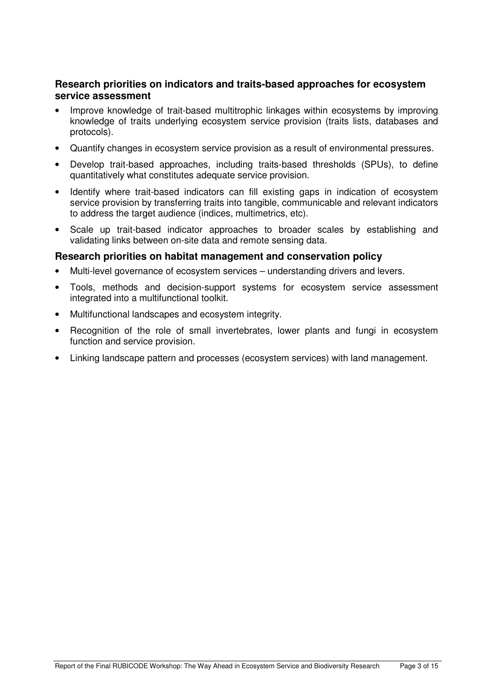#### **Research priorities on indicators and traits-based approaches for ecosystem service assessment**

- Improve knowledge of trait-based multitrophic linkages within ecosystems by improving knowledge of traits underlying ecosystem service provision (traits lists, databases and protocols).
- Quantify changes in ecosystem service provision as a result of environmental pressures.
- Develop trait-based approaches, including traits-based thresholds (SPUs), to define quantitatively what constitutes adequate service provision.
- Identify where trait-based indicators can fill existing gaps in indication of ecosystem service provision by transferring traits into tangible, communicable and relevant indicators to address the target audience (indices, multimetrics, etc).
- Scale up trait-based indicator approaches to broader scales by establishing and validating links between on-site data and remote sensing data.

#### **Research priorities on habitat management and conservation policy**

- Multi-level governance of ecosystem services understanding drivers and levers.
- Tools, methods and decision-support systems for ecosystem service assessment integrated into a multifunctional toolkit.
- Multifunctional landscapes and ecosystem integrity.
- Recognition of the role of small invertebrates, lower plants and fungi in ecosystem function and service provision.
- Linking landscape pattern and processes (ecosystem services) with land management.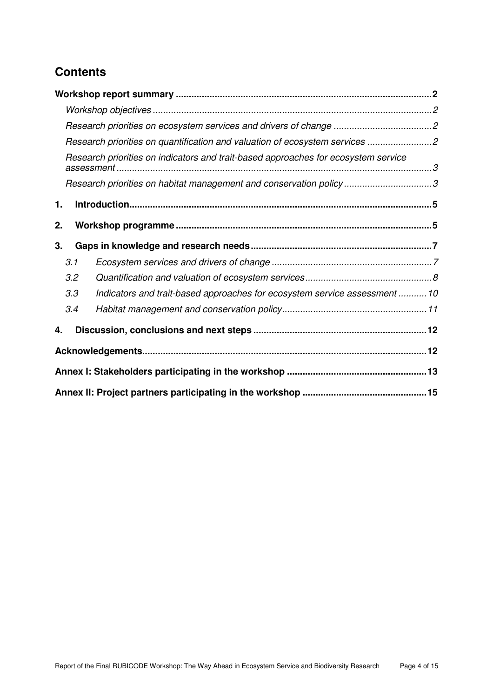# **Contents**

| Research priorities on quantification and valuation of ecosystem services 2        |  |  |  |
|------------------------------------------------------------------------------------|--|--|--|
| Research priorities on indicators and trait-based approaches for ecosystem service |  |  |  |
| Research priorities on habitat management and conservation policy3                 |  |  |  |
| 1.                                                                                 |  |  |  |
|                                                                                    |  |  |  |
| 2.                                                                                 |  |  |  |
| 3.                                                                                 |  |  |  |
| 3.1                                                                                |  |  |  |
| 3.2                                                                                |  |  |  |
| Indicators and trait-based approaches for ecosystem service assessment  10<br>3.3  |  |  |  |
| 3.4                                                                                |  |  |  |
| 4.                                                                                 |  |  |  |
|                                                                                    |  |  |  |
|                                                                                    |  |  |  |
|                                                                                    |  |  |  |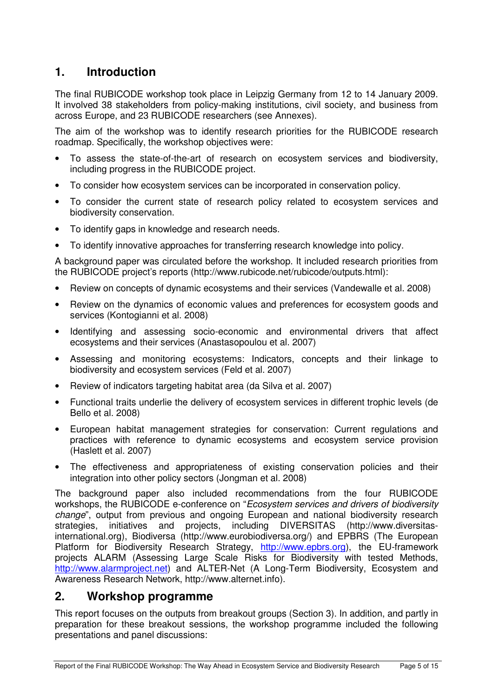## **1. Introduction**

The final RUBICODE workshop took place in Leipzig Germany from 12 to 14 January 2009. It involved 38 stakeholders from policy-making institutions, civil society, and business from across Europe, and 23 RUBICODE researchers (see Annexes).

The aim of the workshop was to identify research priorities for the RUBICODE research roadmap. Specifically, the workshop objectives were:

- To assess the state-of-the-art of research on ecosystem services and biodiversity, including progress in the RUBICODE project.
- To consider how ecosystem services can be incorporated in conservation policy.
- To consider the current state of research policy related to ecosystem services and biodiversity conservation.
- To identify gaps in knowledge and research needs.
- To identify innovative approaches for transferring research knowledge into policy.

A background paper was circulated before the workshop. It included research priorities from the RUBICODE project's reports (http://www.rubicode.net/rubicode/outputs.html):

- Review on concepts of dynamic ecosystems and their services (Vandewalle et al. 2008)
- Review on the dynamics of economic values and preferences for ecosystem goods and services (Kontogianni et al. 2008)
- Identifying and assessing socio-economic and environmental drivers that affect ecosystems and their services (Anastasopoulou et al. 2007)
- Assessing and monitoring ecosystems: Indicators, concepts and their linkage to biodiversity and ecosystem services (Feld et al. 2007)
- Review of indicators targeting habitat area (da Silva et al. 2007)
- Functional traits underlie the delivery of ecosystem services in different trophic levels (de Bello et al. 2008)
- European habitat management strategies for conservation: Current regulations and practices with reference to dynamic ecosystems and ecosystem service provision (Haslett et al. 2007)
- The effectiveness and appropriateness of existing conservation policies and their integration into other policy sectors (Jongman et al. 2008)

The background paper also included recommendations from the four RUBICODE workshops, the RUBICODE e-conference on "*Ecosystem services and drivers of biodiversity change*", output from previous and ongoing European and national biodiversity research strategies, initiatives and projects, including DIVERSITAS (http://www.diversitasinternational.org), Biodiversa (http://www.eurobiodiversa.org/) and EPBRS (The European Platform for Biodiversity Research Strategy, http://www.epbrs.org), the EU-framework projects ALARM (Assessing Large Scale Risks for Biodiversity with tested Methods, http://www.alarmproject.net) and ALTER-Net (A Long-Term Biodiversity, Ecosystem and Awareness Research Network, http://www.alternet.info).

### **2. Workshop programme**

This report focuses on the outputs from breakout groups (Section 3). In addition, and partly in preparation for these breakout sessions, the workshop programme included the following presentations and panel discussions: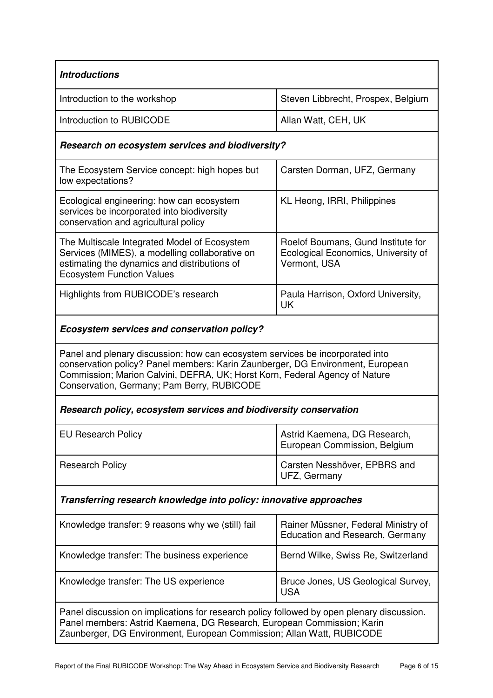| <b>Introductions</b>                                                                                                                                                                                                                                                                         |                                                                                           |  |  |  |  |
|----------------------------------------------------------------------------------------------------------------------------------------------------------------------------------------------------------------------------------------------------------------------------------------------|-------------------------------------------------------------------------------------------|--|--|--|--|
| Introduction to the workshop                                                                                                                                                                                                                                                                 | Steven Libbrecht, Prospex, Belgium                                                        |  |  |  |  |
| Introduction to RUBICODE                                                                                                                                                                                                                                                                     | Allan Watt, CEH, UK                                                                       |  |  |  |  |
| Research on ecosystem services and biodiversity?                                                                                                                                                                                                                                             |                                                                                           |  |  |  |  |
| The Ecosystem Service concept: high hopes but<br>low expectations?                                                                                                                                                                                                                           | Carsten Dorman, UFZ, Germany                                                              |  |  |  |  |
| Ecological engineering: how can ecosystem<br>services be incorporated into biodiversity<br>conservation and agricultural policy                                                                                                                                                              | KL Heong, IRRI, Philippines                                                               |  |  |  |  |
| The Multiscale Integrated Model of Ecosystem<br>Services (MIMES), a modelling collaborative on<br>estimating the dynamics and distributions of<br><b>Ecosystem Function Values</b>                                                                                                           | Roelof Boumans, Gund Institute for<br>Ecological Economics, University of<br>Vermont, USA |  |  |  |  |
| Highlights from RUBICODE's research                                                                                                                                                                                                                                                          | Paula Harrison, Oxford University,<br>UK                                                  |  |  |  |  |
| Ecosystem services and conservation policy?                                                                                                                                                                                                                                                  |                                                                                           |  |  |  |  |
| Panel and plenary discussion: how can ecosystem services be incorporated into<br>conservation policy? Panel members: Karin Zaunberger, DG Environment, European<br>Commission; Marion Calvini, DEFRA, UK; Horst Korn, Federal Agency of Nature<br>Conservation, Germany; Pam Berry, RUBICODE |                                                                                           |  |  |  |  |
| Research policy, ecosystem services and biodiversity conservation                                                                                                                                                                                                                            |                                                                                           |  |  |  |  |
| <b>EU Research Policy</b>                                                                                                                                                                                                                                                                    | Astrid Kaemena, DG Research,<br>European Commission, Belgium                              |  |  |  |  |
| <b>Research Policy</b>                                                                                                                                                                                                                                                                       | Carsten Nesshöver, EPBRS and<br>UFZ, Germany                                              |  |  |  |  |
| Transferring research knowledge into policy: innovative approaches                                                                                                                                                                                                                           |                                                                                           |  |  |  |  |
| Knowledge transfer: 9 reasons why we (still) fail                                                                                                                                                                                                                                            | Rainer Müssner, Federal Ministry of<br><b>Education and Research, Germany</b>             |  |  |  |  |
| Knowledge transfer: The business experience                                                                                                                                                                                                                                                  | Bernd Wilke, Swiss Re, Switzerland                                                        |  |  |  |  |
| Knowledge transfer: The US experience                                                                                                                                                                                                                                                        | Bruce Jones, US Geological Survey,<br><b>USA</b>                                          |  |  |  |  |
| Panel discussion on implications for research policy followed by open plenary discussion.<br>Panel members: Astrid Kaemena, DG Research, European Commission; Karin<br>Zaunberger, DG Environment, European Commission; Allan Watt, RUBICODE                                                 |                                                                                           |  |  |  |  |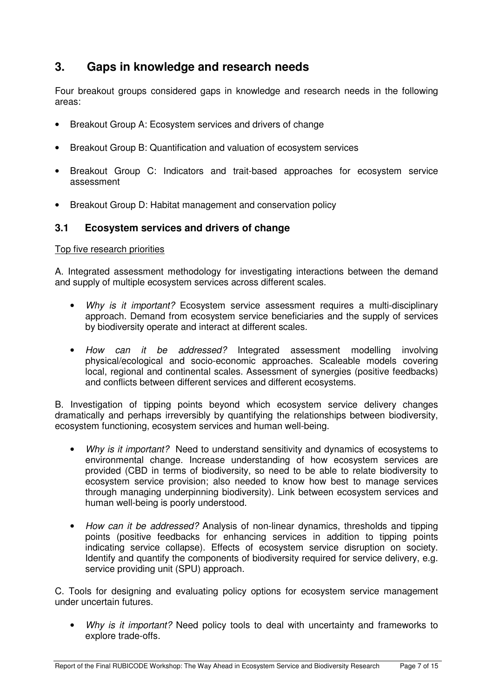# **3. Gaps in knowledge and research needs**

Four breakout groups considered gaps in knowledge and research needs in the following areas:

- Breakout Group A: Ecosystem services and drivers of change
- Breakout Group B: Quantification and valuation of ecosystem services
- Breakout Group C: Indicators and trait-based approaches for ecosystem service assessment
- Breakout Group D: Habitat management and conservation policy

#### **3.1 Ecosystem services and drivers of change**

#### Top five research priorities

A. Integrated assessment methodology for investigating interactions between the demand and supply of multiple ecosystem services across different scales.

- *Why is it important?* Ecosystem service assessment requires a multi-disciplinary approach. Demand from ecosystem service beneficiaries and the supply of services by biodiversity operate and interact at different scales.
- *How can it be addressed?* Integrated assessment modelling involving physical/ecological and socio-economic approaches. Scaleable models covering local, regional and continental scales. Assessment of synergies (positive feedbacks) and conflicts between different services and different ecosystems.

B. Investigation of tipping points beyond which ecosystem service delivery changes dramatically and perhaps irreversibly by quantifying the relationships between biodiversity, ecosystem functioning, ecosystem services and human well-being.

- *Why is it important?* Need to understand sensitivity and dynamics of ecosystems to environmental change. Increase understanding of how ecosystem services are provided (CBD in terms of biodiversity, so need to be able to relate biodiversity to ecosystem service provision; also needed to know how best to manage services through managing underpinning biodiversity). Link between ecosystem services and human well-being is poorly understood.
- *How can it be addressed?* Analysis of non-linear dynamics, thresholds and tipping points (positive feedbacks for enhancing services in addition to tipping points indicating service collapse). Effects of ecosystem service disruption on society. Identify and quantify the components of biodiversity required for service delivery, e.g. service providing unit (SPU) approach.

C. Tools for designing and evaluating policy options for ecosystem service management under uncertain futures.

• *Why is it important?* Need policy tools to deal with uncertainty and frameworks to explore trade-offs.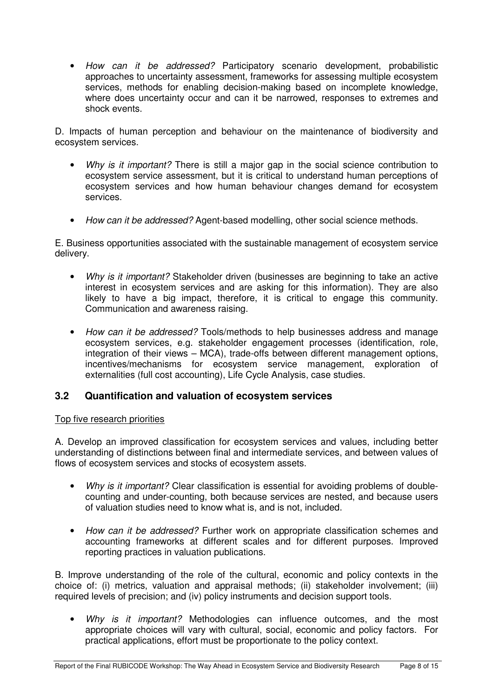• *How can it be addressed?* Participatory scenario development, probabilistic approaches to uncertainty assessment, frameworks for assessing multiple ecosystem services, methods for enabling decision-making based on incomplete knowledge, where does uncertainty occur and can it be narrowed, responses to extremes and shock events.

D. Impacts of human perception and behaviour on the maintenance of biodiversity and ecosystem services.

- *Why is it important?* There is still a major gap in the social science contribution to ecosystem service assessment, but it is critical to understand human perceptions of ecosystem services and how human behaviour changes demand for ecosystem services.
- *How can it be addressed?* Agent-based modelling, other social science methods.

E. Business opportunities associated with the sustainable management of ecosystem service delivery.

- *Why is it important?* Stakeholder driven (businesses are beginning to take an active interest in ecosystem services and are asking for this information). They are also likely to have a big impact, therefore, it is critical to engage this community. Communication and awareness raising.
- *How can it be addressed?* Tools/methods to help businesses address and manage ecosystem services, e.g. stakeholder engagement processes (identification, role, integration of their views – MCA), trade-offs between different management options, incentives/mechanisms for ecosystem service management, exploration of externalities (full cost accounting), Life Cycle Analysis, case studies.

#### **3.2 Quantification and valuation of ecosystem services**

#### Top five research priorities

A. Develop an improved classification for ecosystem services and values, including better understanding of distinctions between final and intermediate services, and between values of flows of ecosystem services and stocks of ecosystem assets.

- *Why is it important?* Clear classification is essential for avoiding problems of doublecounting and under-counting, both because services are nested, and because users of valuation studies need to know what is, and is not, included.
- *How can it be addressed?* Further work on appropriate classification schemes and accounting frameworks at different scales and for different purposes. Improved reporting practices in valuation publications.

B. Improve understanding of the role of the cultural, economic and policy contexts in the choice of: (i) metrics, valuation and appraisal methods; (ii) stakeholder involvement; (iii) required levels of precision; and (iv) policy instruments and decision support tools.

• *Why is it important?* Methodologies can influence outcomes, and the most appropriate choices will vary with cultural, social, economic and policy factors. For practical applications, effort must be proportionate to the policy context.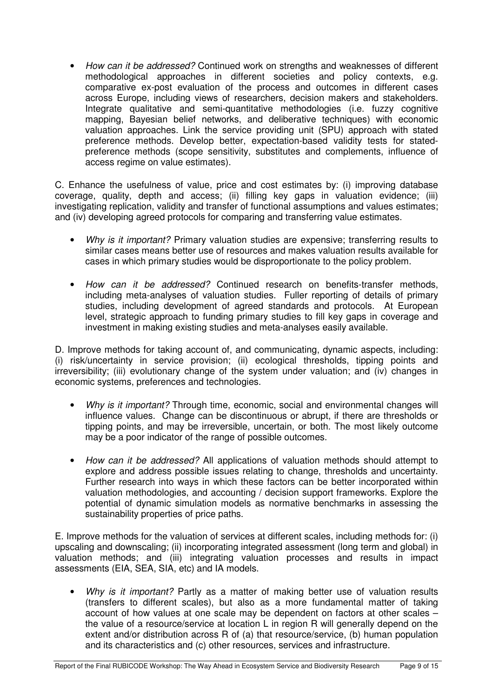• *How can it be addressed?* Continued work on strengths and weaknesses of different methodological approaches in different societies and policy contexts, e.g. comparative ex-post evaluation of the process and outcomes in different cases across Europe, including views of researchers, decision makers and stakeholders. Integrate qualitative and semi-quantitative methodologies (i.e. fuzzy cognitive mapping, Bayesian belief networks, and deliberative techniques) with economic valuation approaches. Link the service providing unit (SPU) approach with stated preference methods. Develop better, expectation-based validity tests for statedpreference methods (scope sensitivity, substitutes and complements, influence of access regime on value estimates).

C. Enhance the usefulness of value, price and cost estimates by: (i) improving database coverage, quality, depth and access; (ii) filling key gaps in valuation evidence; (iii) investigating replication, validity and transfer of functional assumptions and values estimates; and (iv) developing agreed protocols for comparing and transferring value estimates.

- *Why is it important?* Primary valuation studies are expensive; transferring results to similar cases means better use of resources and makes valuation results available for cases in which primary studies would be disproportionate to the policy problem.
- *How can it be addressed?* Continued research on benefits-transfer methods, including meta-analyses of valuation studies. Fuller reporting of details of primary studies, including development of agreed standards and protocols. At European level, strategic approach to funding primary studies to fill key gaps in coverage and investment in making existing studies and meta-analyses easily available.

D. Improve methods for taking account of, and communicating, dynamic aspects, including: (i) risk/uncertainty in service provision; (ii) ecological thresholds, tipping points and irreversibility; (iii) evolutionary change of the system under valuation; and (iv) changes in economic systems, preferences and technologies.

- *Why is it important?* Through time, economic, social and environmental changes will influence values. Change can be discontinuous or abrupt, if there are thresholds or tipping points, and may be irreversible, uncertain, or both. The most likely outcome may be a poor indicator of the range of possible outcomes.
- *How can it be addressed?* All applications of valuation methods should attempt to explore and address possible issues relating to change, thresholds and uncertainty. Further research into ways in which these factors can be better incorporated within valuation methodologies, and accounting / decision support frameworks. Explore the potential of dynamic simulation models as normative benchmarks in assessing the sustainability properties of price paths.

E. Improve methods for the valuation of services at different scales, including methods for: (i) upscaling and downscaling; (ii) incorporating integrated assessment (long term and global) in valuation methods; and (iii) integrating valuation processes and results in impact assessments (EIA, SEA, SIA, etc) and IA models.

• *Why is it important?* Partly as a matter of making better use of valuation results (transfers to different scales), but also as a more fundamental matter of taking account of how values at one scale may be dependent on factors at other scales – the value of a resource/service at location L in region R will generally depend on the extent and/or distribution across R of (a) that resource/service, (b) human population and its characteristics and (c) other resources, services and infrastructure.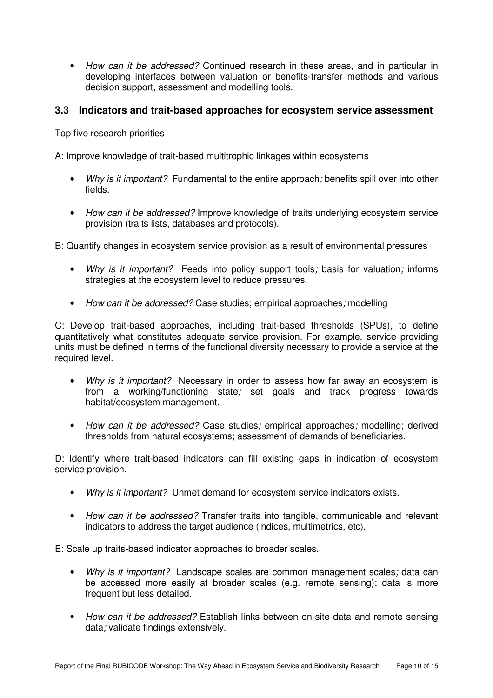• *How can it be addressed?* Continued research in these areas, and in particular in developing interfaces between valuation or benefits-transfer methods and various decision support, assessment and modelling tools.

#### **3.3 Indicators and trait-based approaches for ecosystem service assessment**

#### Top five research priorities

A: Improve knowledge of trait-based multitrophic linkages within ecosystems

- *Why is it important?* Fundamental to the entire approach*;* benefits spill over into other fields.
- *How can it be addressed?* Improve knowledge of traits underlying ecosystem service provision (traits lists, databases and protocols).

B: Quantify changes in ecosystem service provision as a result of environmental pressures

- *Why is it important?* Feeds into policy support tools*;* basis for valuation*;* informs strategies at the ecosystem level to reduce pressures.
- *How can it be addressed?* Case studies; empirical approaches*;* modelling

C: Develop trait-based approaches, including trait-based thresholds (SPUs), to define quantitatively what constitutes adequate service provision. For example, service providing units must be defined in terms of the functional diversity necessary to provide a service at the required level.

- *Why is it important?* Necessary in order to assess how far away an ecosystem is from a working/functioning state*;* set goals and track progress towards habitat/ecosystem management.
- *How can it be addressed?* Case studies*;* empirical approaches*;* modelling; derived thresholds from natural ecosystems; assessment of demands of beneficiaries.

D: Identify where trait-based indicators can fill existing gaps in indication of ecosystem service provision.

- *Why is it important?* Unmet demand for ecosystem service indicators exists.
- *How can it be addressed?* Transfer traits into tangible, communicable and relevant indicators to address the target audience (indices, multimetrics, etc).

E: Scale up traits-based indicator approaches to broader scales.

- *Why is it important?* Landscape scales are common management scales*;* data can be accessed more easily at broader scales (e.g. remote sensing); data is more frequent but less detailed.
- *How can it be addressed?* Establish links between on-site data and remote sensing data*;* validate findings extensively.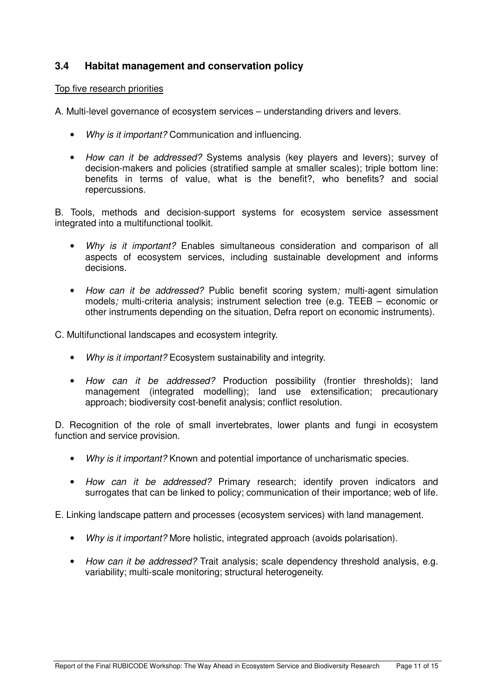#### **3.4 Habitat management and conservation policy**

#### Top five research priorities

A. Multi-level governance of ecosystem services – understanding drivers and levers.

- *Why is it important?* Communication and influencing.
- *How can it be addressed?* Systems analysis (key players and levers); survey of decision-makers and policies (stratified sample at smaller scales); triple bottom line: benefits in terms of value, what is the benefit?, who benefits? and social repercussions.

B. Tools, methods and decision-support systems for ecosystem service assessment integrated into a multifunctional toolkit.

- *Why is it important?* Enables simultaneous consideration and comparison of all aspects of ecosystem services, including sustainable development and informs decisions.
- *How can it be addressed?* Public benefit scoring system*;* multi-agent simulation models*;* multi-criteria analysis; instrument selection tree (e.g. TEEB – economic or other instruments depending on the situation, Defra report on economic instruments).

C. Multifunctional landscapes and ecosystem integrity.

- *Why is it important?* Ecosystem sustainability and integrity.
- *How can it be addressed?* Production possibility (frontier thresholds); land management (integrated modelling); land use extensification; precautionary approach; biodiversity cost-benefit analysis; conflict resolution.

D. Recognition of the role of small invertebrates, lower plants and fungi in ecosystem function and service provision.

- *Why is it important?* Known and potential importance of uncharismatic species.
- *How can it be addressed?* Primary research; identify proven indicators and surrogates that can be linked to policy; communication of their importance; web of life.

E. Linking landscape pattern and processes (ecosystem services) with land management.

- *Why is it important?* More holistic, integrated approach (avoids polarisation).
- *How can it be addressed?* Trait analysis; scale dependency threshold analysis, e.g. variability; multi-scale monitoring; structural heterogeneity.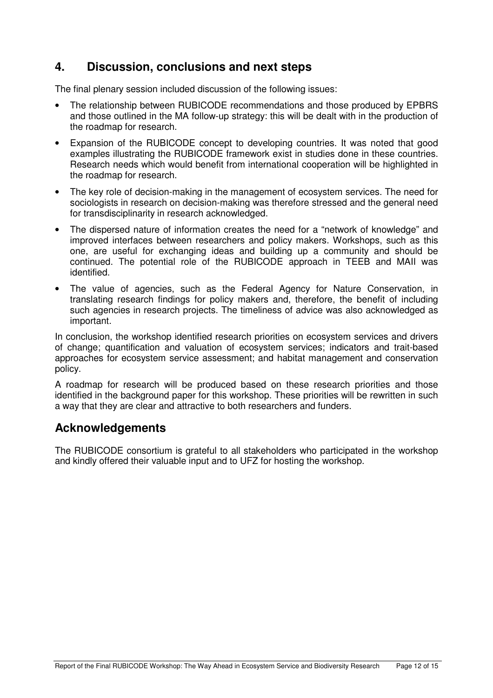## **4. Discussion, conclusions and next steps**

The final plenary session included discussion of the following issues:

- The relationship between RUBICODE recommendations and those produced by EPBRS and those outlined in the MA follow-up strategy: this will be dealt with in the production of the roadmap for research.
- Expansion of the RUBICODE concept to developing countries. It was noted that good examples illustrating the RUBICODE framework exist in studies done in these countries. Research needs which would benefit from international cooperation will be highlighted in the roadmap for research.
- The key role of decision-making in the management of ecosystem services. The need for sociologists in research on decision-making was therefore stressed and the general need for transdisciplinarity in research acknowledged.
- The dispersed nature of information creates the need for a "network of knowledge" and improved interfaces between researchers and policy makers. Workshops, such as this one, are useful for exchanging ideas and building up a community and should be continued. The potential role of the RUBICODE approach in TEEB and MAII was identified.
- The value of agencies, such as the Federal Agency for Nature Conservation, in translating research findings for policy makers and, therefore, the benefit of including such agencies in research projects. The timeliness of advice was also acknowledged as important.

In conclusion, the workshop identified research priorities on ecosystem services and drivers of change; quantification and valuation of ecosystem services; indicators and trait-based approaches for ecosystem service assessment; and habitat management and conservation policy.

A roadmap for research will be produced based on these research priorities and those identified in the background paper for this workshop. These priorities will be rewritten in such a way that they are clear and attractive to both researchers and funders.

### **Acknowledgements**

The RUBICODE consortium is grateful to all stakeholders who participated in the workshop and kindly offered their valuable input and to UFZ for hosting the workshop.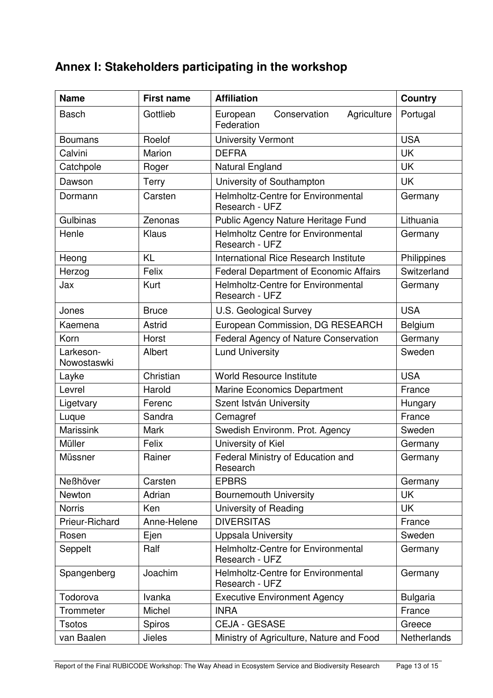# **Annex I: Stakeholders participating in the workshop**

| <b>Name</b>              | <b>First name</b> | <b>Affiliation</b>                                          | <b>Country</b>  |
|--------------------------|-------------------|-------------------------------------------------------------|-----------------|
| <b>Basch</b>             | Gottlieb          | Conservation<br>European<br>Agriculture<br>Federation       | Portugal        |
| <b>Boumans</b>           | Roelof            | <b>University Vermont</b>                                   | <b>USA</b>      |
| Calvini                  | Marion            | <b>DEFRA</b>                                                | UK              |
| Catchpole                | Roger             | Natural England                                             | UK              |
| Dawson                   | Terry             | University of Southampton                                   | <b>UK</b>       |
| Dormann                  | Carsten           | Helmholtz-Centre for Environmental<br>Research - UFZ        | Germany         |
| Gulbinas                 | Zenonas           | Public Agency Nature Heritage Fund                          | Lithuania       |
| Henle                    | Klaus             | <b>Helmholtz Centre for Environmental</b><br>Research - UFZ | Germany         |
| Heong                    | <b>KL</b>         | International Rice Research Institute                       | Philippines     |
| Herzog                   | Felix             | Federal Department of Economic Affairs                      | Switzerland     |
| Jax                      | Kurt              | <b>Helmholtz-Centre for Environmental</b><br>Research - UFZ | Germany         |
| Jones                    | <b>Bruce</b>      | U.S. Geological Survey                                      | <b>USA</b>      |
| Kaemena                  | Astrid            | European Commission, DG RESEARCH                            | Belgium         |
| Korn                     | Horst             | Federal Agency of Nature Conservation                       | Germany         |
| Larkeson-<br>Nowostaswki | Albert            | <b>Lund University</b>                                      | Sweden          |
| Layke                    | Christian         | <b>World Resource Institute</b>                             | <b>USA</b>      |
| Levrel                   | Harold            | <b>Marine Economics Department</b>                          | France          |
| Ligetvary                | Ferenc            | Szent István University                                     | Hungary         |
| Luque                    | Sandra            | Cemagref                                                    | France          |
| <b>Marissink</b>         | <b>Mark</b>       | Swedish Environm. Prot. Agency                              | Sweden          |
| Müller                   | Felix             | University of Kiel                                          | Germany         |
| Müssner                  | Rainer            | Federal Ministry of Education and<br>Research               | Germany         |
| <b>Neßhöver</b>          | Carsten           | <b>EPBRS</b>                                                | Germany         |
| Newton                   | Adrian            | <b>Bournemouth University</b>                               | <b>UK</b>       |
| <b>Norris</b>            | Ken               | University of Reading                                       | <b>UK</b>       |
| Prieur-Richard           | Anne-Helene       | <b>DIVERSITAS</b>                                           | France          |
| Rosen                    | Ejen              | <b>Uppsala University</b>                                   | Sweden          |
| Seppelt                  | Ralf              | <b>Helmholtz-Centre for Environmental</b><br>Research - UFZ | Germany         |
| Spangenberg              | Joachim           | <b>Helmholtz-Centre for Environmental</b><br>Research - UFZ | Germany         |
| Todorova                 | Ivanka            | <b>Executive Environment Agency</b>                         | <b>Bulgaria</b> |
| Trommeter                | Michel            | <b>INRA</b>                                                 | France          |
| <b>Tsotos</b>            | Spiros            | <b>CEJA - GESASE</b>                                        | Greece          |
| van Baalen               | <b>Jieles</b>     | Ministry of Agriculture, Nature and Food                    | Netherlands     |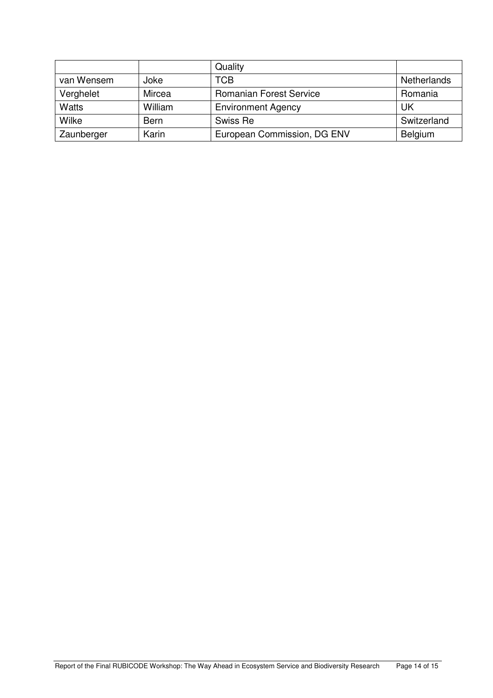|              |             | Quality                        |                    |
|--------------|-------------|--------------------------------|--------------------|
| van Wensem   | Joke        | <b>TCB</b>                     | <b>Netherlands</b> |
| Verghelet    | Mircea      | <b>Romanian Forest Service</b> | Romania            |
| <b>Watts</b> | William     | <b>Environment Agency</b>      | UK                 |
| Wilke        | <b>Bern</b> | Swiss Re                       | Switzerland        |
| Zaunberger   | Karin       | European Commission, DG ENV    | Belgium            |